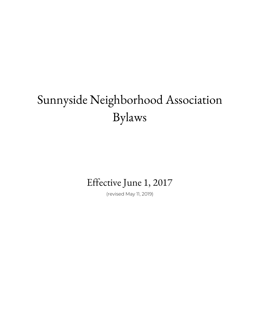# Sunnyside Neighborhood Association Bylaws

### Effective June 1, 2017

(revised May 11, 2019)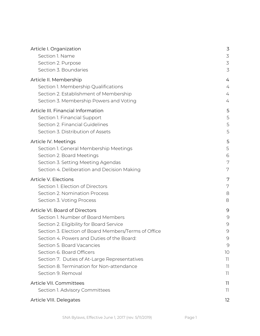| Article I. Organization                              | 3              |
|------------------------------------------------------|----------------|
| Section 1. Name                                      | $\mathfrak{Z}$ |
| Section 2. Purpose                                   | 3              |
| Section 3. Boundaries                                | 3              |
| Article II. Membership                               | 4              |
| Section 1. Membership Qualifications                 | 4              |
| Section 2. Establishment of Membership               | 4              |
| Section 3. Membership Powers and Voting              | 4              |
| Article III. Financial Information                   | 5              |
| Section 1. Financial Support                         | 5              |
| Section 2. Financial Guidelines                      | 5              |
| Section 3. Distribution of Assets                    | 5              |
| Article IV. Meetings                                 | 5              |
| Section 1. General Membership Meetings               | 5              |
| Section 2. Board Meetings                            | 6              |
| Section 3. Setting Meeting Agendas                   | 7              |
| Section 4. Deliberation and Decision Making          | 7              |
| Article V. Elections                                 | 7              |
| Section 1. Election of Directors                     | 7              |
| Section 2. Nomination Process                        | 8              |
| Section 3. Voting Process                            | 8              |
| Article VI. Board of Directors                       | 9              |
| Section 1. Number of Board Members                   | $\mathcal{G}$  |
| Section 2. Eligibility for Board Service             | $\mathcal{Q}$  |
| Section 3. Election of Board Members/Terms of Office | 9              |
| Section 4. Powers and Duties of the Board:           | $\mathcal{G}$  |
| Section 5. Board Vacancies                           | $\mathcal{G}$  |
| Section 6. Board Officers                            | 10             |
| Section 7. Duties of At-Large Representatives        | 11             |
| Section 8. Termination for Non-attendance            | T              |
| Section 9. Removal                                   | 11             |
| Article VII. Committees                              | 11             |
| Section 1. Advisory Committees                       | 11             |
| Article VIII. Delegates                              | 12             |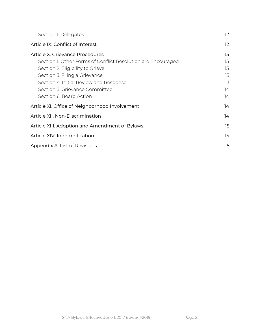| Section 1. Delegates                                         | $12 \overline{)}$ |
|--------------------------------------------------------------|-------------------|
| Article IX. Conflict of Interest                             | $12 \overline{ }$ |
| Article X. Grievance Procedures                              | 13                |
| Section 1. Other Forms of Conflict Resolution are Encouraged | 13                |
| Section 2. Eligibility to Grieve                             | 13                |
| Section 3. Filing a Grievance                                | 13                |
| Section 4. Initial Review and Response                       | 13                |
| Section 5. Grievance Committee                               | 14                |
| Section 6. Board Action                                      | 14                |
| Article XI. Office of Neighborhood Involvement               | 14                |
| Article XII. Non-Discrimination                              | 14                |
| Article XIII. Adoption and Amendment of Bylaws               | 15                |
| Article XIV. Indemnification                                 | 15                |
| Appendix A. List of Revisions                                | 15                |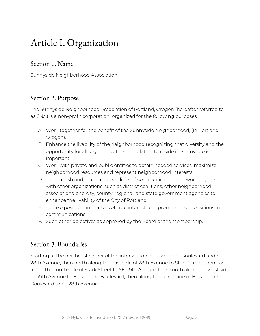### <span id="page-3-0"></span>Article I. Organization

#### <span id="page-3-1"></span>Section 1. Name

Sunnyside Neighborhood Association

#### <span id="page-3-2"></span>Section 2. Purpose

The Sunnyside Neighborhood Association of Portland, Oregon (hereafter referred to as SNA) is a non-profit corporation organized for the following purposes:

- A. Work together for the benefit of the Sunnyside Neighborhood, (in Portland, Oregon).
- B. Enhance the livability of the neighborhood recognizing that diversity and the opportunity for all segments of the population to reside in Sunnyside is important.
- C. Work with private and public entities to obtain needed services, maximize neighborhood resources and represent neighborhood interests.
- D. To establish and maintain open lines of communication and work together with other organizations, such as district coalitions, other neighborhood associations, and city, county, regional, and state government agencies to enhance the livability of the City of Portland.
- E. To take positions in matters of civic interest, and promote those positions in communications;
- F. Such other objectives as approved by the Board or the Membership.

#### <span id="page-3-3"></span>Section 3. Boundaries

Starting at the northeast corner of the intersection of Hawthorne Boulevard and SE 28th Avenue, then north along the east side of 28th Avenue to Stark Street; then east along the south side of Stark Street to SE 49th Avenue; then south along the west side of 49th Avenue to Hawthorne Boulevard; then along the north side of Hawthorne Boulevard to SE 28th Avenue.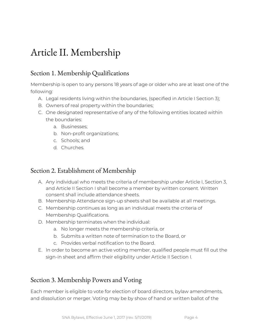### <span id="page-4-0"></span>Article II. Membership

#### <span id="page-4-1"></span>Section 1. Membership Qualifications

Membership is open to any persons 18 years of age or older who are at least one of the following:

- A. Legal residents living within the boundaries, (specified in Article I Section 3);
- B. Owners of real property within the boundaries;
- C. One designated representative of any of the following entities located within the boundaries:
	- a. Businesses;
	- b. Non-profit organizations;
	- c. Schools; and
	- d. Churches.

#### <span id="page-4-2"></span>Section 2. Establishment of Membership

- A. Any individual who meets the criteria of membership under Article I, Section 3, and Article II Section I shall become a member by written consent. Written consent shall include attendance sheets.
- B. Membership Attendance sign-up sheets shall be available at all meetings.
- C. Membership continues as long as an individual meets the criteria of Membership Qualifications.
- D. Membership terminates when the individual:
	- a. No longer meets the membership criteria, or
	- b. Submits a written note of termination to the Board, or
	- c. Provides verbal notification to the Board.
- E. In order to become an active voting member, qualified people must fill out the sign-in sheet and affirm their eligibility under Article II Section I.

#### <span id="page-4-3"></span>Section 3. Membership Powers and Voting

Each member is eligible to vote for election of board directors, bylaw amendments, and dissolution or merger. Voting may be by show of hand or written ballot of the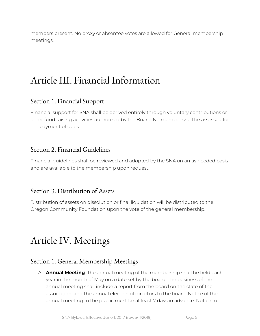members present. No proxy or absentee votes are allowed for General membership meetings.

### <span id="page-5-0"></span>Article III. Financial Information

#### <span id="page-5-1"></span>Section 1. Financial Support

Financial support for SNA shall be derived entirely through voluntary contributions or other fund raising activities authorized by the Board. No member shall be assessed for the payment of dues.

#### <span id="page-5-2"></span>Section 2. Financial Guidelines

Financial guidelines shall be reviewed and adopted by the SNA on an as needed basis and are available to the membership upon request.

#### <span id="page-5-3"></span>Section 3. Distribution of Assets

Distribution of assets on dissolution or final liquidation will be distributed to the Oregon Community Foundation upon the vote of the general membership.

### <span id="page-5-4"></span>Article IV. Meetings

#### <span id="page-5-5"></span>Section 1. General Membership Meetings

A. **Annual Meeting**: The annual meeting of the membership shall be held each year in the month of May on a date set by the board. The business of the annual meeting shall include a report from the board on the state of the association, and the annual election of directors to the board. Notice of the annual meeting to the public must be at least 7 days in advance. Notice to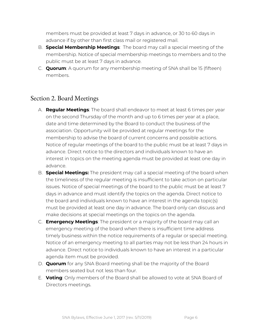members must be provided at least 7 days in advance, or 30 to 60 days in advance if by other than first class mail or registered mail.

- B. **Special Membership Meetings**: The board may call a special meeting of the membership. Notice of special membership meetings to members and to the public must be at least 7 days in advance.
- C. **Quorum**: A quorum for any membership meeting of SNA shall be 15 (fifteen) members.

#### <span id="page-6-0"></span>Section 2. Board Meetings

- A. **Regular Meetings**: The board shall endeavor to meet at least 6 times per year on the second Thursday of the month and up to 6 times per year at a place, date and time determined by the Board to conduct the business of the association. Opportunity will be provided at regular meetings for the membership to advise the board of current concerns and possible actions. Notice of regular meetings of the board to the public must be at least 7 days in advance. Direct notice to the directors and individuals known to have an interest in topics on the meeting agenda must be provided at least one day in advance.
- B. **Special Meetings:** The president may call a special meeting of the board when the timeliness of the regular meeting is insufficient to take action on particular issues. Notice of special meetings of the board to the public must be at least 7 days in advance and must identify the topics on the agenda. Direct notice to the board and individuals known to have an interest in the agenda topic(s) must be provided at least one day in advance. The board only can discuss and make decisions at special meetings on the topics on the agenda.
- C. **Emergency Meetings**: The president or a majority of the board may call an emergency meeting of the board when there is insufficient time address timely business within the notice requirements of a regular or special meeting. Notice of an emergency meeting to all parties may not be less than 24 hours in advance. Direct notice to individuals known to have an interest in a particular agenda item must be provided.
- D. **Quorum** for any SNA Board meeting shall be the majority of the Board members seated but not less than four.
- E. **Voting**: Only members of the Board shall be allowed to vote at SNA Board of Directors meetings.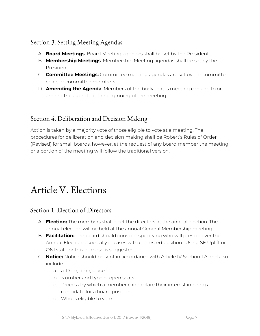#### <span id="page-7-0"></span>Section 3. Setting Meeting Agendas

- A. **Board Meetings**: Board Meeting agendas shall be set by the President.
- B. **Membership Meetings**: Membership Meeting agendas shall be set by the President.
- C. **Committee Meetings:** Committee meeting agendas are set by the committee chair; or committee members.
- D. **Amending the Agenda**: Members of the body that is meeting can add to or amend the agenda at the beginning of the meeting.

#### <span id="page-7-1"></span>Section 4. Deliberation and Decision Making

Action is taken by a majority vote of those eligible to vote at a meeting. The procedures for deliberation and decision making shall be Robert's Rules of Order (Revised) for small boards, however, at the request of any board member the meeting or a portion of the meeting will follow the traditional version.

# <span id="page-7-2"></span>Article V. Elections

#### <span id="page-7-3"></span>Section 1. Election of Directors

- A. **Election:** The members shall elect the directors at the annual election. The annual election will be held at the annual General Membership meeting.
- B. **Facilitation:** The board should consider specifying who will preside over the Annual Election, especially in cases with contested position. Using SE Uplift or ONI staff for this purpose is suggested.
- C. **Notice:** Notice should be sent in accordance with Article IV Section 1 A and also include:
	- a. a. Date, time, place
	- b. Number and type of open seats
	- c. Process by which a member can declare their interest in being a candidate for a board position.
	- d. Who is eligible to vote.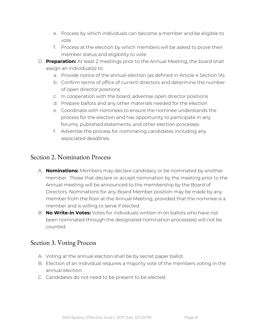- e. Process by which individuals can become a member and be eligible to vote
- f. Process at the election by which members will be asked to prove their member status and eligibility to vote.
- D. **Preparation:** At least 2 meetings prior to the Annual Meeting, the board shall assign an individual(s) to:
	- a. Provide notice of the annual election (as defined in Article 4 Section 1A).
	- b. Confirm terms of office of current directors and determine the number of open director positions
	- c. In cooperation with the board, advertise open director positions
	- d. Prepare ballots and any other materials needed for the election
	- e. Coordinate with nominees to ensure the nominee understands the process for the election and has opportunity to participate in any forums, published statements, and other election processes
	- f. Advertise the process for nominating candidates including any associated deadlines.

#### <span id="page-8-0"></span>Section 2. Nomination Process

- A. **Nominations:** Members may declare candidacy or be nominated by another member. Those that declare or accept nomination by the meeting prior to the Annual meeting will be announced to the membership by the Board of Directors. Nominations for any Board Member position may be made by any member from the floor at the Annual Meeting, provided that the nominee is a member and is willing to serve if elected.
- B. **No Write-in Votes:** Votes for individuals written in on ballots who have not been nominated through the designated nomination process(es) will not be counted.

#### <span id="page-8-1"></span>Section 3. Voting Process

- A. Voting at the annual election shall be by secret paper ballot.
- B. Election of an individual requires a majority vote of the members voting in the annual election.
- C. Candidates do not need to be present to be elected.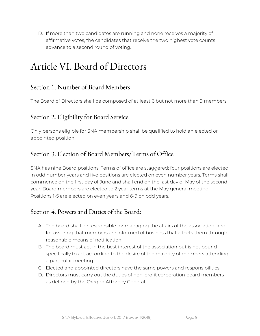D. If more than two candidates are running and none receives a majority of affirmative votes, the candidates that receive the two highest vote counts advance to a second round of voting.

### <span id="page-9-0"></span>Article VI. Board of Directors

#### <span id="page-9-1"></span>Section 1. Number of Board Members

The Board of Directors shall be composed of at least 6 but not more than 9 members.

#### <span id="page-9-2"></span>Section 2. Eligibility for Board Service

Only persons eligible for SNA membership shall be qualified to hold an elected or appointed position.

#### <span id="page-9-3"></span>Section 3. Election of Board Members/Terms of Office

SNA has nine Board positions. Terms of office are staggered; four positions are elected in odd number years and five positions are elected on even number years. Terms shall commence on the first day of June and shall end on the last day of May of the second year. Board members are elected to 2 year terms at the May general meeting. Positions 1-5 are elected on even years and 6-9 on odd years.

#### <span id="page-9-4"></span>Section 4. Powers and Duties of the Board:

- A. The board shall be responsible for managing the affairs of the association, and for assuring that members are informed of business that affects them through reasonable means of notification.
- B. The board must act in the best interest of the association but is not bound specifically to act according to the desire of the majority of members attending a particular meeting.
- C. Elected and appointed directors have the same powers and responsibilities
- D. Directors must carry out the duties of non-profit corporation board members as defined by the Oregon Attorney General.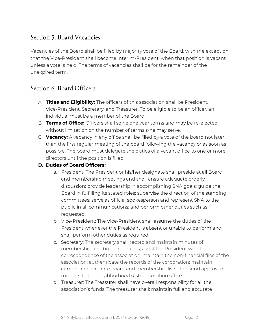#### <span id="page-10-0"></span>Section 5. Board Vacancies

Vacancies of the Board shall be filled by majority vote of the Board, with the exception that the Vice-President shall become interim-President, when that position is vacant unless a vote is held. The terms of vacancies shall be for the remainder of the unexpired term.

#### <span id="page-10-1"></span>Section 6. Board Officers

- A. **Titles and Eligibility:** The officers of this association shall be President, Vice-President, Secretary, and Treasurer. To be eligible to be an officer, an individual must be a member of the Board.
- B. **Terms of Office:** Officers shall serve one year terms and may be re-elected without limitation on the number of terms s/he may serve.
- C. **Vacancy:** A vacancy in any office shall be filled by a vote of the board not later than the first regular meeting of the board following the vacancy or as soon as possible. The board must delegate the duties of a vacant office to one or more directors until the position is filled.

#### **D. Duties of Board Officers:**

- a. President: The President or his/her designate shall preside at all Board and membership meetings and shall ensure adequate orderly discussion; provide leadership in accomplishing SNA goals; guide the Board in fulfilling its stated roles; supervise the direction of the standing committees; serve as official spokesperson and represent SNA to the public in all communications; and perform other duties such as requested.
- b. Vice-President: The Vice-President shall assume the duties of the President whenever the President is absent or unable to perform and shall perform other duties as required.
- c. Secretary: The secretary shall: record and maintain minutes of membership and board meetings, assist the President with the correspondence of the association; maintain the non-financial files of the association; authenticate the records of the corporation; maintain current and accurate board and membership lists; and send approved minutes to the neighborhood district coalition office.
- d. Treasurer: The Treasurer shall have overall responsibility for all the association's funds. The treasurer shall: maintain full and accurate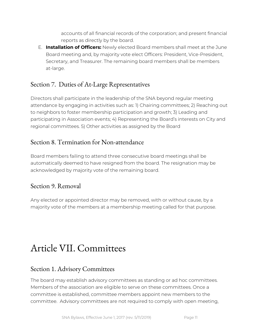accounts of all financial records of the corporation; and present financial reports as directly by the board.

E. **Installation of Officers:** Newly elected Board members shall meet at the June Board meeting and, by majority vote elect Officers: President, Vice-President, Secretary, and Treasurer. The remaining board members shall be members at-large.

#### <span id="page-11-0"></span>Section 7. Duties of At-Large Representatives

Directors shall participate in the leadership of the SNA beyond regular meeting attendance by engaging in activities such as: 1) Chairing committees; 2) Reaching out to neighbors to foster membership participation and growth; 3) Leading and participating in Association events; 4) Representing the Board's interests on City and regional committees. 5) Other activities as assigned by the Board

#### <span id="page-11-1"></span>Section 8. Termination for Non-attendance

Board members failing to attend three consecutive board meetings shall be automatically deemed to have resigned from the board. The resignation may be acknowledged by majority vote of the remaining board.

#### <span id="page-11-2"></span>Section 9. Removal

Any elected or appointed director may be removed, with or without cause, by a majority vote of the members at a membership meeting called for that purpose.

### <span id="page-11-3"></span>Article VII. Committees

#### <span id="page-11-4"></span>Section 1. Advisory Committees

The board may establish advisory committees as standing or ad hoc committees. Members of the association are eligible to serve on these committees. Once a committee is established, committee members appoint new members to the committee. Advisory committees are not required to comply with open meeting,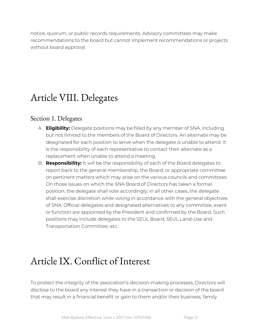notice, quorum, or public records requirements. Advisory committees may make recommendations to the board but cannot implement recommendations or projects without board approval.

### <span id="page-12-0"></span>Article VIII. Delegates

#### <span id="page-12-1"></span>Section 1. Delegates

- A. **Eligibility:** Delegate positions may be filled by any member of SNA, including but not limited to the members of the Board of Directors. An alternate may be designated for each position to serve when the delegate is unable to attend. It is the responsibility of each representative to contact their alternate as a replacement when unable to attend a meeting.
- B. **Responsibility:** It will be the responsibility of each of the Board delegates to report back to the general membership, the Board, or appropriate committee on pertinent matters which may arise on the various councils and committees. On those issues on which the SNA Board of Directors has taken a formal position, the delegate shall vote accordingly; in all other cases, the delegate shall exercise discretion while voting in accordance with the general objectives of SNA. Official delegates and designated alternatives to any committee, event or function are appointed by the President and confirmed by the Board. Such positions may include delegates to the SEUL Board, SEUL Land-Use and Transportation Committee, etc.

### <span id="page-12-2"></span>Article IX. Conflict of Interest

To protect the integrity of the association's decision-making processes, Directors will disclose to the board any interest they have in a transaction or decision of the board that may result in a financial benefit or gain to them and/or their business, family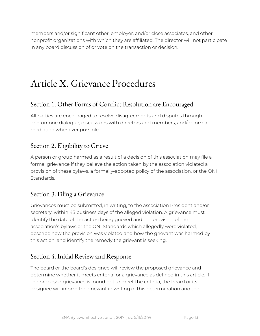members and/or significant other, employer, and/or close associates, and other nonprofit organizations with which they are affiliated. The director will not participate in any board discussion of or vote on the transaction or decision.

### <span id="page-13-0"></span>Article X. Grievance Procedures

#### <span id="page-13-1"></span>Section 1. Other Forms of Conflict Resolution are Encouraged

All parties are encouraged to resolve disagreements and disputes through one-on-one dialogue, discussions with directors and members, and/or formal mediation whenever possible.

#### <span id="page-13-2"></span>Section 2. Eligibility to Grieve

A person or group harmed as a result of a decision of this association may file a formal grievance if they believe the action taken by the association violated a provision of these bylaws, a formally-adopted policy of the association, or the ONI Standards.

#### <span id="page-13-3"></span>Section 3. Filing a Grievance

Grievances must be submitted, in writing, to the association President and/or secretary, within 45 business days of the alleged violation. A grievance must identify the date of the action being grieved and the provision of the association's bylaws or the ONI Standards which allegedly were violated, describe how the provision was violated and how the grievant was harmed by this action, and identify the remedy the grievant is seeking.

#### <span id="page-13-4"></span>Section 4. Initial Review and Response

The board or the board's designee will review the proposed grievance and determine whether it meets criteria for a grievance as defined in this article. If the proposed grievance is found not to meet the criteria, the board or its designee will inform the grievant in writing of this determination and the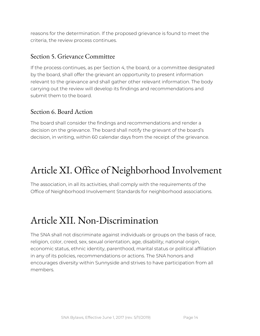reasons for the determination. If the proposed grievance is found to meet the criteria, the review process continues.

#### <span id="page-14-0"></span>Section 5. Grievance Committee

If the process continues, as per Section 4, the board, or a committee designated by the board, shall offer the grievant an opportunity to present information relevant to the grievance and shall gather other relevant information. The body carrying out the review will develop its findings and recommendations and submit them to the board.

#### <span id="page-14-1"></span>Section 6. Board Action

The board shall consider the findings and recommendations and render a decision on the grievance. The board shall notify the grievant of the board's decision, in writing, within 60 calendar days from the receipt of the grievance.

### <span id="page-14-2"></span>Article XI. Office of Neighborhood Involvement

The association, in all its activities, shall comply with the requirements of the Office of Neighborhood Involvement Standards for neighborhood associations.

### <span id="page-14-3"></span>Article XII. Non-Discrimination

The SNA shall not discriminate against individuals or groups on the basis of race, religion, color, creed, sex, sexual orientation, age, disability, national origin, economic status, ethnic identity, parenthood, marital status or political affiliation in any of its policies, recommendations or actions. The SNA honors and encourages diversity within Sunnyside and strives to have participation from all members.